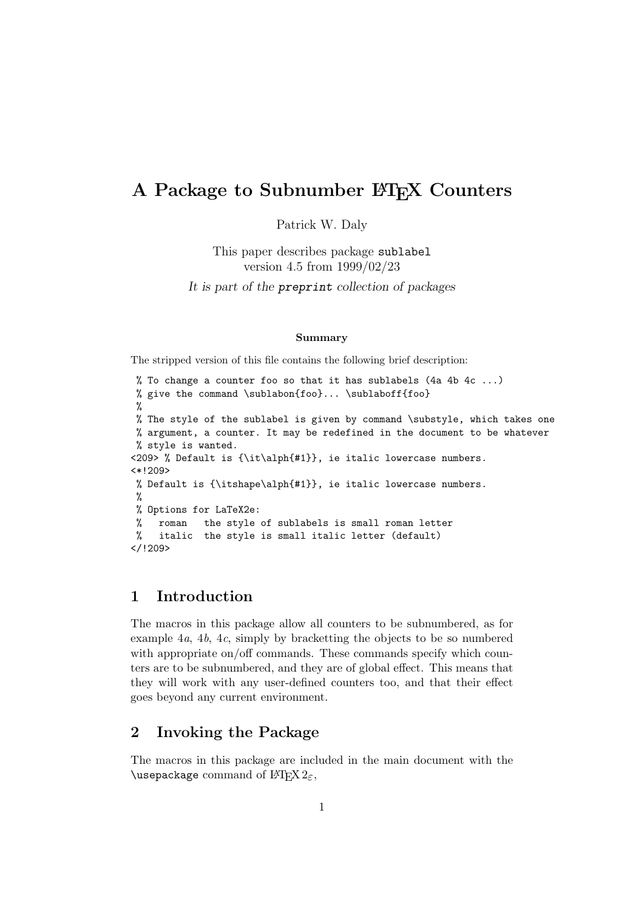# A Package to Subnumber LATEX Counters

Patrick W. Daly

This paper describes package sublabel version 4.5 from 1999/02/23

It is part of the preprint collection of packages

#### Summary

The stripped version of this file contains the following brief description:

```
% To change a counter foo so that it has sublabels (4a 4b 4c ...)
% give the command \sublabon{foo}... \sublaboff{foo}
 %
% The style of the sublabel is given by command \substyle, which takes one
% argument, a counter. It may be redefined in the document to be whatever
% style is wanted.
<209> % Default is {\it\alph{#1}}, ie italic lowercase numbers.
<*!209>
% Default is {\itshape\alph{#1}}, ie italic lowercase numbers.
%
% Options for LaTeX2e:
% roman the style of sublabels is small roman letter
% italic the style is small italic letter (default)
</!209>
```
### 1 Introduction

The macros in this package allow all counters to be subnumbered, as for example  $4a$ ,  $4b$ ,  $4c$ , simply by bracketting the objects to be so numbered with appropriate on/off commands. These commands specify which counters are to be subnumbered, and they are of global effect. This means that they will work with any user-defined counters too, and that their effect goes beyond any current environment.

#### 2 Invoking the Package

The macros in this package are included in the main document with the \usepackage command of  $\operatorname{LTF} \lambda_{\varepsilon}$ ,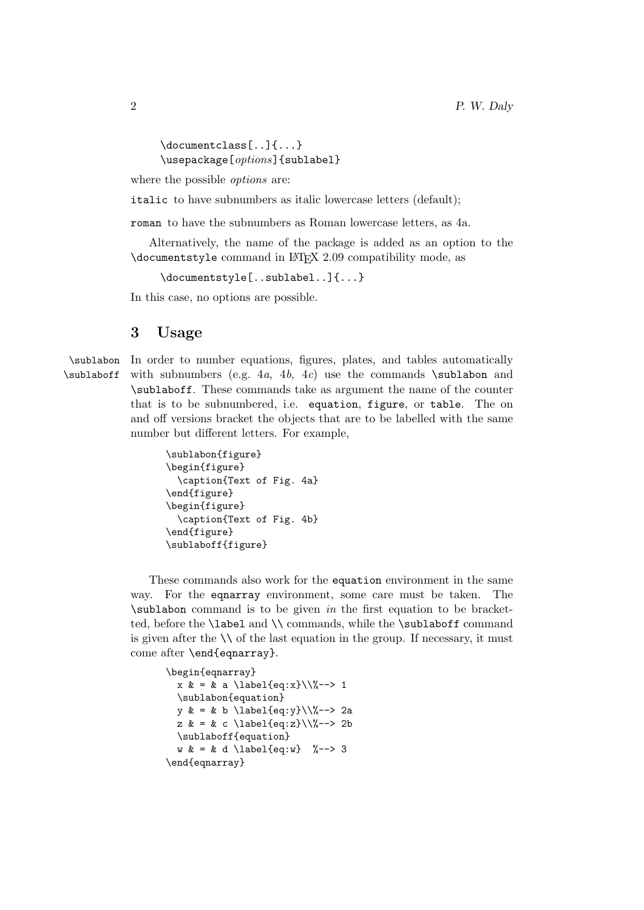\documentclass[..]{...} \usepackage[*options*]{sublabel}

where the possible *options* are:

italic to have subnumbers as italic lowercase letters (default);

roman to have the subnumbers as Roman lowercase letters, as 4a.

Alternatively, the name of the package is added as an option to the \documentstyle command in LATEX 2.09 compatibility mode, as

\documentstyle[..sublabel..]{...}

In this case, no options are possible.

#### 3 Usage

\sublabon In order to number equations, figures, plates, and tables automatically  $\sub{sublabel}$  \sublaboff with subnumbers (e.g. 4a, 4b, 4c) use the commands  $\sub{sublabel}$  and \sublaboff. These commands take as argument the name of the counter that is to be subnumbered, i.e. equation, figure, or table. The on and off versions bracket the objects that are to be labelled with the same number but different letters. For example,

```
\sublabon{figure}
\begin{figure}
  \caption{Text of Fig. 4a}
\end{figure}
\begin{figure}
  \caption{Text of Fig. 4b}
\end{figure}
\sublaboff{figure}
```
These commands also work for the equation environment in the same way. For the eqnarray environment, some care must be taken. The  $\simeq$   $\simeq$   $\simeq$   $\simeq$   $\simeq$   $\simeq$   $\simeq$   $\simeq$   $\simeq$   $\simeq$   $\simeq$   $\simeq$   $\simeq$   $\simeq$   $\simeq$   $\simeq$   $\simeq$   $\simeq$   $\simeq$   $\simeq$   $\simeq$   $\simeq$   $\simeq$   $\simeq$   $\simeq$   $\simeq$   $\simeq$   $\simeq$   $\simeq$   $\simeq$   $\simeq$   $\sime$ ted, before the \label and \\ commands, while the \sublaboff command is given after the  $\setminus \setminus$  of the last equation in the group. If necessary, it must come after \end{eqnarray}.

```
\begin{eqnarray}
  x & = & a \ \label{eq:1} a \label{eq:x}\\%--> 1
  \sublabon{equation}
  y \& = \& b \text{label{eq:q:1} \label{eq:y}\\%--> 2a
  z & = & c \ \label{eq:z} \text{2b}\sublaboff{equation}
  w & = & d \leq \text{level}\{eq:w\} %--> 3
\end{eqnarray}
```